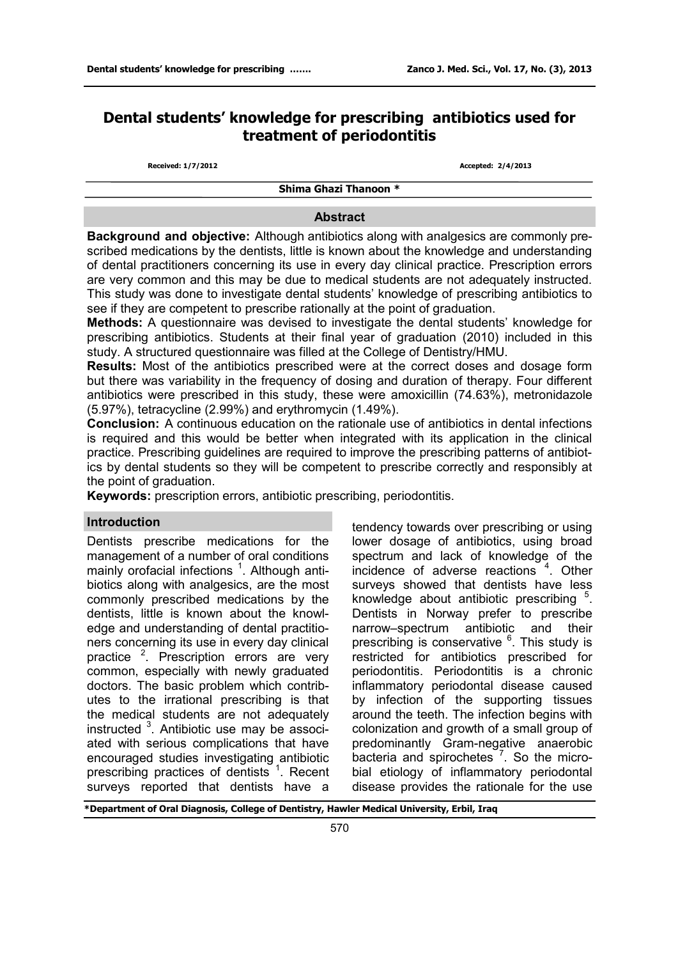# **Dental students' knowledge for prescribing antibiotics used for treatment of periodontitis**

**Received: 1/7/2012 Accepted: 2/4/2013**

**Shima Ghazi Thanoon \*** 

#### **Abstract**

**Background and objective:** Although antibiotics along with analgesics are commonly prescribed medications by the dentists, little is known about the knowledge and understanding of dental practitioners concerning its use in every day clinical practice. Prescription errors are very common and this may be due to medical students are not adequately instructed. This study was done to investigate dental students' knowledge of prescribing antibiotics to see if they are competent to prescribe rationally at the point of graduation.

**Methods:** A questionnaire was devised to investigate the dental students' knowledge for prescribing antibiotics. Students at their final year of graduation (2010) included in this study. A structured questionnaire was filled at the College of Dentistry/HMU.

**Results:** Most of the antibiotics prescribed were at the correct doses and dosage form but there was variability in the frequency of dosing and duration of therapy. Four different antibiotics were prescribed in this study, these were amoxicillin (74.63%), metronidazole (5.97%), tetracycline (2.99%) and erythromycin (1.49%).

**Conclusion:** A continuous education on the rationale use of antibiotics in dental infections is required and this would be better when integrated with its application in the clinical practice. Prescribing guidelines are required to improve the prescribing patterns of antibiotics by dental students so they will be competent to prescribe correctly and responsibly at the point of graduation.

**Keywords:** prescription errors, antibiotic prescribing, periodontitis.

#### **Introduction**

Dentists prescribe medications for the management of a number of oral conditions mainly orofacial infections<sup>1</sup>. Although antibiotics along with analgesics, are the most commonly prescribed medications by the dentists, little is known about the knowledge and understanding of dental practitioners concerning its use in every day clinical practice <sup>2</sup>. Prescription errors are very common, especially with newly graduated doctors. The basic problem which contributes to the irrational prescribing is that the medical students are not adequately instructed <sup>3</sup>. Antibiotic use may be associated with serious complications that have encouraged studies investigating antibiotic prescribing practices of dentists<sup>1</sup>. Recent surveys reported that dentists have a

tendency towards over prescribing or using lower dosage of antibiotics, using broad spectrum and lack of knowledge of the incidence of adverse reactions <sup>4</sup>. Other surveys showed that dentists have less knowledge about antibiotic prescribing <sup>5</sup>. Dentists in Norway prefer to prescribe narrow–spectrum antibiotic and their prescribing is conservative <sup>6</sup>. This study is restricted for antibiotics prescribed for periodontitis. Periodontitis is a chronic inflammatory periodontal disease caused by infection of the supporting tissues around the teeth. The infection begins with colonization and growth of a small group of predominantly Gram-negative anaerobic bacteria and spirochetes<sup>7</sup>. So the microbial etiology of inflammatory periodontal disease provides the rationale for the use

**\*Department of Oral Diagnosis, College of Dentistry, Hawler Medical University, Erbil, Iraq**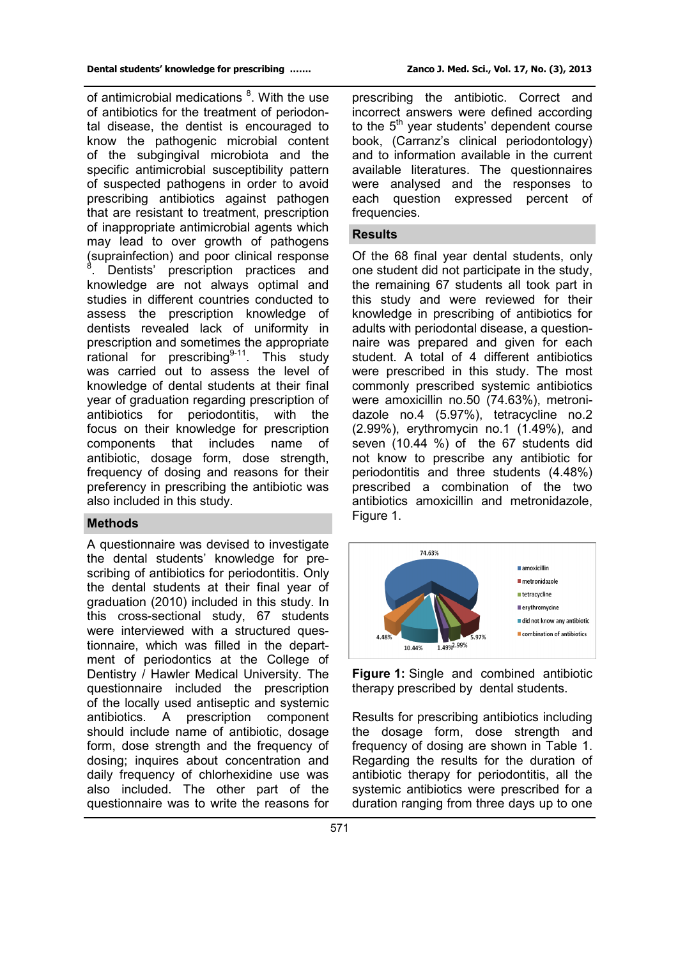of antimicrobial medications <sup>8</sup>. With the use of antibiotics for the treatment of periodontal disease, the dentist is encouraged to know the pathogenic microbial content of the subgingival microbiota and the specific antimicrobial susceptibility pattern of suspected pathogens in order to avoid prescribing antibiotics against pathogen that are resistant to treatment, prescription of inappropriate antimicrobial agents which may lead to over growth of pathogens (suprainfection) and poor clinical response 8 . Dentists' prescription practices and knowledge are not always optimal and studies in different countries conducted to assess the prescription knowledge of dentists revealed lack of uniformity in prescription and sometimes the appropriate rational for prescribing $9-11$ . This study was carried out to assess the level of knowledge of dental students at their final year of graduation regarding prescription of antibiotics for periodontitis, with the focus on their knowledge for prescription components that includes name of antibiotic, dosage form, dose strength, frequency of dosing and reasons for their preferency in prescribing the antibiotic was also included in this study.

#### **Methods**

A questionnaire was devised to investigate the dental students' knowledge for prescribing of antibiotics for periodontitis. Only the dental students at their final year of graduation (2010) included in this study. In this cross-sectional study, 67 students were interviewed with a structured questionnaire, which was filled in the department of periodontics at the College of Dentistry / Hawler Medical University. The questionnaire included the prescription of the locally used antiseptic and systemic antibiotics. A prescription component should include name of antibiotic, dosage form, dose strength and the frequency of dosing; inquires about concentration and daily frequency of chlorhexidine use was also included. The other part of the questionnaire was to write the reasons for

prescribing the antibiotic. Correct and incorrect answers were defined according to the 5<sup>th</sup> year students' dependent course book, (Carranz's clinical periodontology) and to information available in the current available literatures. The questionnaires were analysed and the responses to each question expressed percent of frequencies.

# **Results**

Of the 68 final year dental students, only one student did not participate in the study, the remaining 67 students all took part in this study and were reviewed for their knowledge in prescribing of antibiotics for adults with periodontal disease, a questionnaire was prepared and given for each student. A total of 4 different antibiotics were prescribed in this study. The most commonly prescribed systemic antibiotics were amoxicillin no.50 (74.63%), metronidazole no.4 (5.97%), tetracycline no.2 (2.99%), erythromycin no.1 (1.49%), and seven (10.44 %) of the 67 students did not know to prescribe any antibiotic for periodontitis and three students (4.48%) prescribed a combination of the two antibiotics amoxicillin and metronidazole, Figure 1.



**Figure 1:** Single and combined antibiotic therapy prescribed by dental students.

Results for prescribing antibiotics including the dosage form, dose strength and frequency of dosing are shown in Table 1. Regarding the results for the duration of antibiotic therapy for periodontitis, all the systemic antibiotics were prescribed for a duration ranging from three days up to one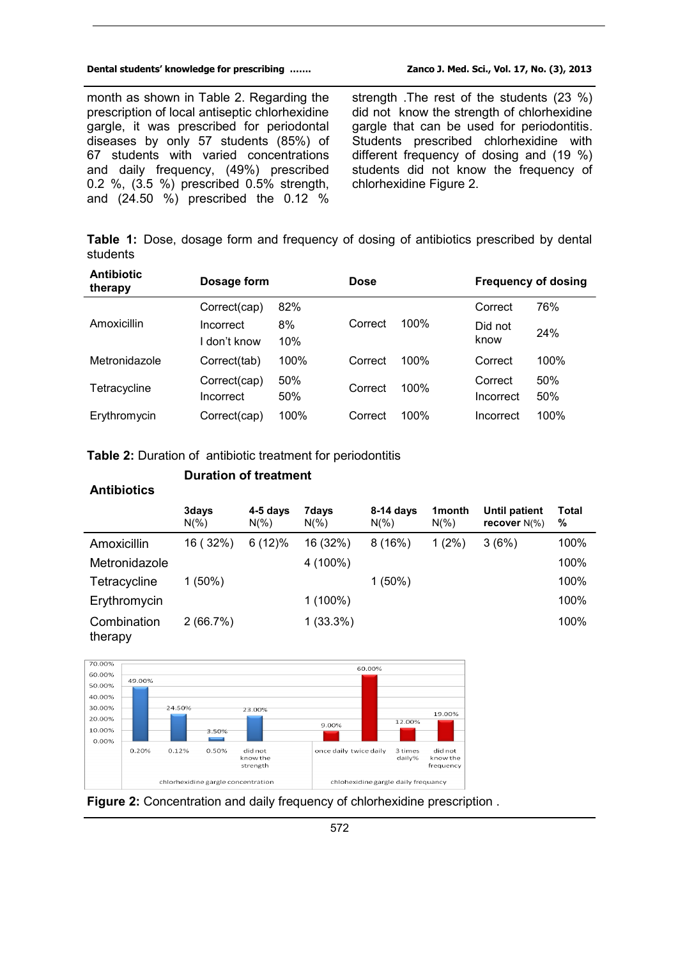#### **Dental students' knowledge for prescribing ……. Zanco J. Med. Sci., Vol. 17, No. (3), 2013**

month as shown in Table 2. Regarding the prescription of local antiseptic chlorhexidine gargle, it was prescribed for periodontal diseases by only 57 students (85%) of 67 students with varied concentrations and daily frequency, (49%) prescribed 0.2 %, (3.5 %) prescribed 0.5% strength, and (24.50 %) prescribed the 0.12 %

strength .The rest of the students (23 %) did not know the strength of chlorhexidine gargle that can be used for periodontitis. Students prescribed chlorhexidine with different frequency of dosing and (19 %) students did not know the frequency of chlorhexidine Figure 2.

**Table 1:** Dose, dosage form and frequency of dosing of antibiotics prescribed by dental students

| <b>Antibiotic</b><br>therapy | Dosage form               |            | Dose    |      | <b>Frequency of dosing</b> |            |
|------------------------------|---------------------------|------------|---------|------|----------------------------|------------|
|                              | Correct(cap)              | 82%        |         |      | Correct                    | 76%        |
| Amoxicillin                  | Incorrect<br>I don't know | 8%<br>10%  | Correct | 100% | Did not<br>know            | 24%        |
| Metronidazole                | Correct(tab)              | 100%       | Correct | 100% | Correct                    | 100%       |
| Tetracycline                 | Correct(cap)<br>Incorrect | 50%<br>50% | Correct | 100% | Correct<br>Incorrect       | 50%<br>50% |
| Erythromycin                 | Correct(cap)              | 100%       | Correct | 100% | Incorrect                  | 100%       |

# **Table 2:** Duration of antibiotic treatment for periodontitis

# **Duration of treatment**

## **Antibiotics**

|                        | 3days<br>$N(\% )$ | $4-5$ days<br>$N(\% )$ | 7days<br>$N(\% )$ | $8-14$ days<br>$N(\% )$ | 1 <sub>month</sub><br>$N(\%)$ | Until patient<br>recover $N(\%)$ | <b>Total</b><br>% |
|------------------------|-------------------|------------------------|-------------------|-------------------------|-------------------------------|----------------------------------|-------------------|
| Amoxicillin            | 16 (32%)          | 6(12)%                 | 16 (32%)          | 8(16%)                  | $1(2\%)$                      | 3(6%)                            | 100%              |
| Metronidazole          |                   |                        | 4 (100%)          |                         |                               |                                  | 100%              |
| Tetracycline           | $1(50\%)$         |                        |                   | $1(50\%)$               |                               |                                  | 100%              |
| Erythromycin           |                   |                        | $1(100\%)$        |                         |                               |                                  | 100%              |
| Combination<br>therapy | 2(66.7%)          |                        | $1(33.3\%)$       |                         |                               |                                  | 100%              |



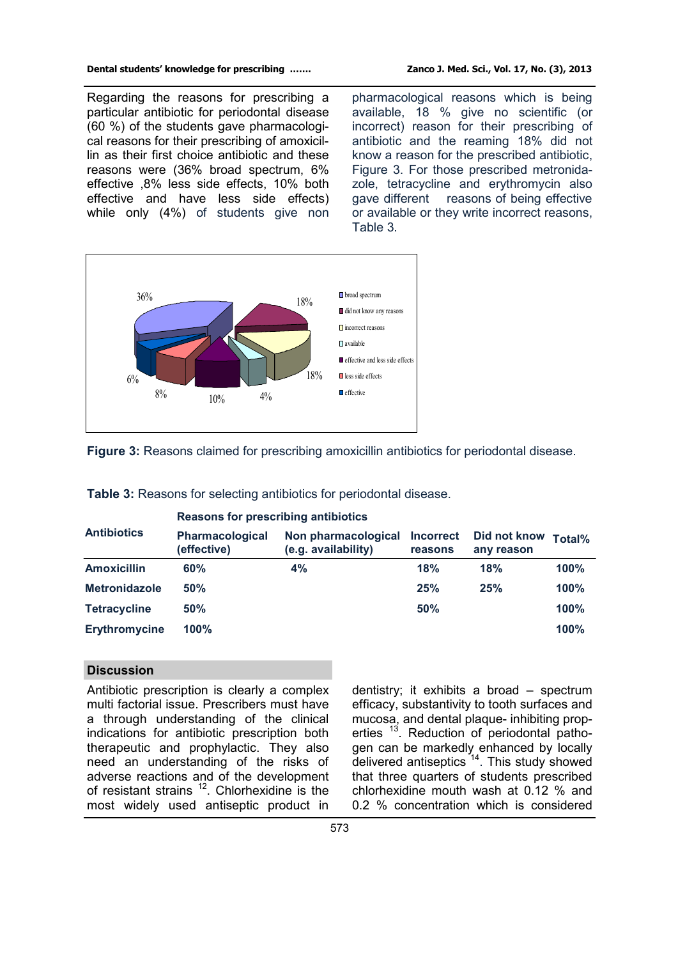Regarding the reasons for prescribing a particular antibiotic for periodontal disease (60 %) of the students gave pharmacological reasons for their prescribing of amoxicillin as their first choice antibiotic and these reasons were (36% broad spectrum, 6% effective ,8% less side effects, 10% both effective and have less side effects) while only (4%) of students give non

pharmacological reasons which is being available, 18 % give no scientific (or incorrect) reason for their prescribing of antibiotic and the reaming 18% did not know a reason for the prescribed antibiotic, Figure 3. For those prescribed metronidazole, tetracycline and erythromycin also gave different reasons of being effective or available or they write incorrect reasons, Table 3.



**Figure 3:** Reasons claimed for prescribing amoxicillin antibiotics for periodontal disease.

| <b>Antibiotics</b>   | Reasons for prescribing antibiotics   |                                            |                             |                            |        |  |  |  |
|----------------------|---------------------------------------|--------------------------------------------|-----------------------------|----------------------------|--------|--|--|--|
|                      | <b>Pharmacological</b><br>(effective) | Non pharmacological<br>(e.g. availability) | <b>Incorrect</b><br>reasons | Did not know<br>any reason | Total% |  |  |  |
| <b>Amoxicillin</b>   | 60%                                   | 4%                                         | 18%                         | 18%                        | 100%   |  |  |  |
| <b>Metronidazole</b> | 50%                                   |                                            | 25%                         | 25%                        | 100%   |  |  |  |
| <b>Tetracycline</b>  | 50%                                   |                                            | 50%                         |                            | 100%   |  |  |  |
| <b>Erythromycine</b> | 100%                                  |                                            |                             |                            | 100%   |  |  |  |

**Table 3:** Reasons for selecting antibiotics for periodontal disease.

# **Discussion**

Antibiotic prescription is clearly a complex multi factorial issue. Prescribers must have a through understanding of the clinical indications for antibiotic prescription both therapeutic and prophylactic. They also need an understanding of the risks of adverse reactions and of the development of resistant strains  $12$ . Chlorhexidine is the most widely used antiseptic product in

dentistry; it exhibits a broad – spectrum efficacy, substantivity to tooth surfaces and mucosa, and dental plaque- inhibiting properties<sup>13</sup>. Reduction of periodontal pathogen can be markedly enhanced by locally delivered antiseptics<sup>14</sup>. This study showed that three quarters of students prescribed chlorhexidine mouth wash at 0.12 % and 0.2 % concentration which is considered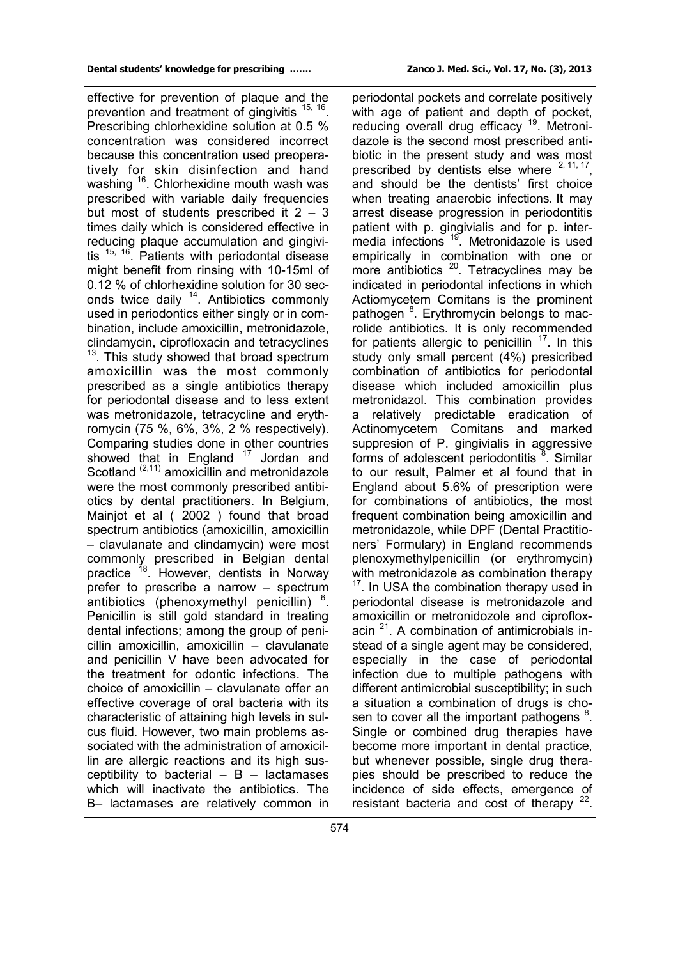effective for prevention of plaque and the prevention and treatment of gingivitis <sup>15, 16</sup>. Prescribing chlorhexidine solution at 0.5 % concentration was considered incorrect because this concentration used preoperatively for skin disinfection and hand washing <sup>16</sup>. Chlorhexidine mouth wash was prescribed with variable daily frequencies but most of students prescribed it  $2 - 3$ times daily which is considered effective in reducing plaque accumulation and gingivitis <sup>15, 16</sup>. Patients with periodontal disease might benefit from rinsing with 10-15ml of 0.12 % of chlorhexidine solution for 30 seconds twice daily <sup>14</sup>. Antibiotics commonly used in periodontics either singly or in combination, include amoxicillin, metronidazole, clindamycin, ciprofloxacin and tetracyclines <sup>13</sup>. This study showed that broad spectrum amoxicillin was the most commonly prescribed as a single antibiotics therapy for periodontal disease and to less extent was metronidazole, tetracycline and erythromycin (75 %, 6%, 3%, 2 % respectively). Comparing studies done in other countries showed that in England  $17$  Jordan and Scotland <sup>(2,11)</sup> amoxicillin and metronidazole were the most commonly prescribed antibiotics by dental practitioners. In Belgium, Mainjot et al ( 2002 ) found that broad spectrum antibiotics (amoxicillin, amoxicillin – clavulanate and clindamycin) were most commonly prescribed in Belgian dental practice <sup>18</sup>. However, dentists in Norway prefer to prescribe a narrow – spectrum antibiotics (phenoxymethyl penicillin)  $6$ . Penicillin is still gold standard in treating dental infections; among the group of penicillin amoxicillin, amoxicillin – clavulanate and penicillin V have been advocated for the treatment for odontic infections. The choice of amoxicillin – clavulanate offer an effective coverage of oral bacteria with its characteristic of attaining high levels in sulcus fluid. However, two main problems associated with the administration of amoxicillin are allergic reactions and its high susceptibility to bacterial  $-$  B  $-$  lactamases which will inactivate the antibiotics. The B– lactamases are relatively common in

periodontal pockets and correlate positively with age of patient and depth of pocket, reducing overall drug efficacy<sup>19</sup>. Metronidazole is the second most prescribed antibiotic in the present study and was most prescribed by dentists else where  $2, 11, 17$ , and should be the dentists' first choice when treating anaerobic infections. It may arrest disease progression in periodontitis patient with p. gingivialis and for p. intermedia infections <sup>19</sup> .Metronidazole is used empirically in combination with one or more antibiotics <sup>20</sup>. Tetracyclines may be indicated in periodontal infections in which Actiomycetem Comitans is the prominent pathogen <sup>8</sup>. Erythromycin belongs to macrolide antibiotics. It is only recommended for patients allergic to penicillin  $17$ . In this study only small percent (4%) presicribed combination of antibiotics for periodontal disease which included amoxicillin plus metronidazol. This combination provides a relatively predictable eradication of Actinomycetem Comitans and marked suppresion of P. gingivialis in aggressive forms of adolescent periodontitis <sup>8</sup>. Similar to our result, Palmer et al found that in England about 5.6% of prescription were for combinations of antibiotics, the most frequent combination being amoxicillin and metronidazole, while DPF (Dental Practitioners' Formulary) in England recommends plenoxymethylpenicillin (or erythromycin) with metronidazole as combination therapy  $17$ . In USA the combination therapy used in periodontal disease is metronidazole and amoxicillin or metronidozole and ciprofloxacin <sup>21</sup>. A combination of antimicrobials instead of a single agent may be considered, especially in the case of periodontal infection due to multiple pathogens with different antimicrobial susceptibility; in such a situation a combination of drugs is chosen to cover all the important pathogens  $8$ . Single or combined drug therapies have become more important in dental practice, but whenever possible, single drug therapies should be prescribed to reduce the incidence of side effects, emergence of resistant bacteria and cost of therapy  $22$ .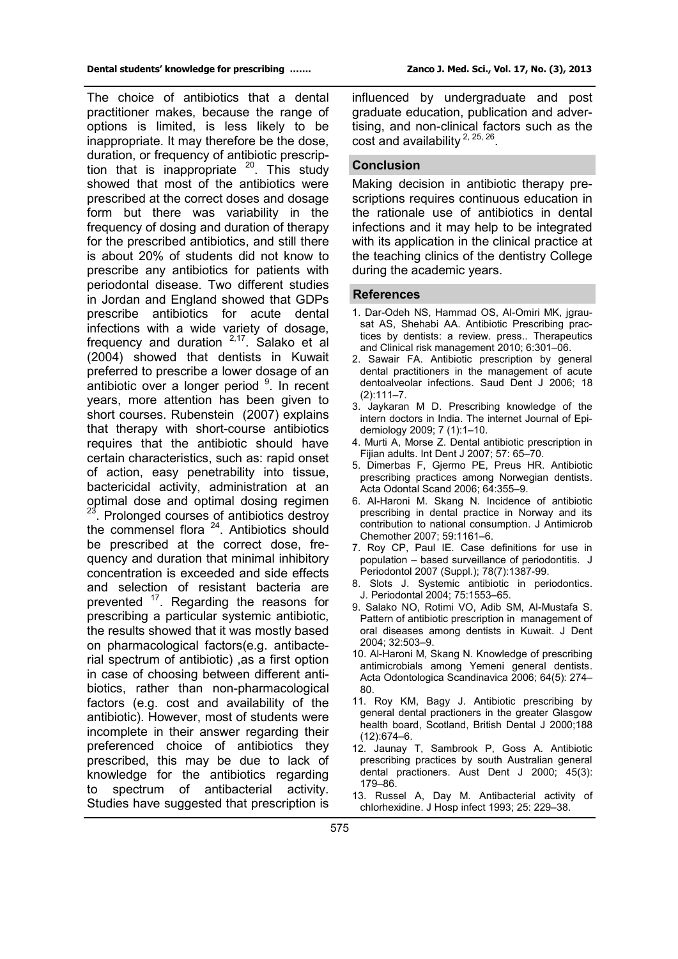The choice of antibiotics that a dental practitioner makes, because the range of options is limited, is less likely to be inappropriate. It may therefore be the dose, duration, or frequency of antibiotic prescription that is inappropriate  $20$ . This study showed that most of the antibiotics were prescribed at the correct doses and dosage form but there was variability in the frequency of dosing and duration of therapy for the prescribed antibiotics, and still there is about 20% of students did not know to prescribe any antibiotics for patients with periodontal disease. Two different studies in Jordan and England showed that GDPs prescribe antibiotics for acute dental infections with a wide variety of dosage, frequency and duration  $2.17$ . Salako et al (2004) showed that dentists in Kuwait preferred to prescribe a lower dosage of an antibiotic over a longer period <sup>9</sup>. In recent years, more attention has been given to short courses. Rubenstein (2007) explains that therapy with short-course antibiotics requires that the antibiotic should have certain characteristics, such as: rapid onset of action, easy penetrability into tissue, bactericidal activity, administration at an optimal dose and optimal dosing regimen 23. Prolonged courses of antibiotics destroy the commensel flora <sup>24</sup>. Antibiotics should be prescribed at the correct dose, frequency and duration that minimal inhibitory concentration is exceeded and side effects and selection of resistant bacteria are prevented <sup>17</sup>. Regarding the reasons for prescribing a particular systemic antibiotic, the results showed that it was mostly based on pharmacological factors(e.g. antibacterial spectrum of antibiotic) ,as a first option in case of choosing between different antibiotics, rather than non-pharmacological factors (e.g. cost and availability of the antibiotic). However, most of students were incomplete in their answer regarding their preferenced choice of antibiotics they prescribed, this may be due to lack of knowledge for the antibiotics regarding spectrum of antibacterial activity. Studies have suggested that prescription is

influenced by undergraduate and post graduate education, publication and advertising, and non-clinical factors such as the cost and availability  $2, 25, 26$ .

#### **Conclusion**

Making decision in antibiotic therapy prescriptions requires continuous education in the rationale use of antibiotics in dental infections and it may help to be integrated with its application in the clinical practice at the teaching clinics of the dentistry College during the academic years.

## **References**

- 1. Dar-Odeh NS, Hammad OS, Al-Omiri MK, jgrausat AS, Shehabi AA. Antibiotic Prescribing practices by dentists: a review. press.. Therapeutics and Clinical risk management 2010; 6:301–06.
- 2. Sawair FA. Antibiotic prescription by general dental practitioners in the management of acute dentoalveolar infections. Saud Dent J 2006; 18  $(2):111-7.$
- 3. Jaykaran M D. Prescribing knowledge of the intern doctors in India. The internet Journal of Epidemiology 2009; 7 (1):1–10.
- 4. Murti A, Morse Z. Dental antibiotic prescription in Fijian adults. Int Dent J 2007; 57: 65–70.
- 5. Dimerbas F, Gjermo PE, Preus HR. Antibiotic prescribing practices among Norwegian dentists. Acta Odontal Scand 2006; 64:355–9.
- 6. Al-Haroni M. Skang N. Incidence of antibiotic prescribing in dental practice in Norway and its contribution to national consumption. J Antimicrob Chemother 2007; 59:1161–6.
- 7. Roy CP, Paul IE. Case definitions for use in population – based surveillance of periodontitis. J Periodontol 2007 (Suppl.); 78(7):1387-99.
- 8. Slots J. Systemic antibiotic in periodontics. J. Periodontal 2004; 75:1553–65.
- 9. Salako NO, Rotimi VO, Adib SM, Al-Mustafa S. Pattern of antibiotic prescription in management of oral diseases among dentists in Kuwait. J Dent 2004; 32:503–9.
- 10. Al-Haroni M, Skang N. Knowledge of prescribing antimicrobials among Yemeni general dentists. Acta Odontologica Scandinavica 2006; 64(5): 274– 80.
- 11. Roy KM, Bagy J. Antibiotic prescribing by general dental practioners in the greater Glasgow health board, Scotland, British Dental J 2000;188 (12):674–6.
- 12. Jaunay T, Sambrook P, Goss A. Antibiotic prescribing practices by south Australian general dental practioners. Aust Dent J 2000; 45(3): 179–86.
- 13. Russel A, Day M. Antibacterial activity of chlorhexidine. J Hosp infect 1993; 25: 229–38.